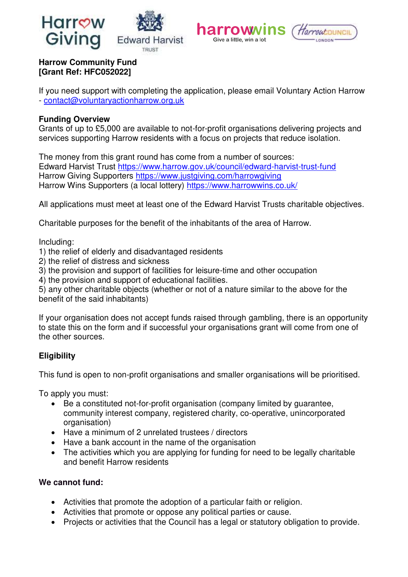



#### **Harrow Community Fund [Grant Ref: HFC052022]**

If you need support with completing the application, please email Voluntary Action Harrow - [contact@voluntaryactionharrow.org.uk](mailto:contact@voluntaryactionharrow.org.uk) 

#### **Funding Overview**

Grants of up to £5,000 are available to not-for-profit organisations delivering projects and services supporting Harrow residents with a focus on projects that reduce isolation.

The money from this grant round has come from a number of sources: Edward Harvist Trust<https://www.harrow.gov.uk/council/edward-harvist-trust-fund> Harrow Giving Supporters<https://www.justgiving.com/harrowgiving> Harrow Wins Supporters (a local lottery)<https://www.harrowwins.co.uk/>

All applications must meet at least one of the Edward Harvist Trusts charitable objectives.

Charitable purposes for the benefit of the inhabitants of the area of Harrow.

Including:

- 1) the relief of elderly and disadvantaged residents
- 2) the relief of distress and sickness
- 3) the provision and support of facilities for leisure-time and other occupation
- 4) the provision and support of educational facilities.

5) any other charitable objects (whether or not of a nature similar to the above for the benefit of the said inhabitants)

If your organisation does not accept funds raised through gambling, there is an opportunity to state this on the form and if successful your organisations grant will come from one of the other sources.

## **Eligibility**

This fund is open to non-profit organisations and smaller organisations will be prioritised.

To apply you must:

- Be a constituted not-for-profit organisation (company limited by guarantee, community interest company, registered charity, co-operative, unincorporated organisation)
- Have a minimum of 2 unrelated trustees / directors
- Have a bank account in the name of the organisation
- The activities which you are applying for funding for need to be legally charitable and benefit Harrow residents

#### **We cannot fund:**

- Activities that promote the adoption of a particular faith or religion.
- Activities that promote or oppose any political parties or cause.
- Projects or activities that the Council has a legal or statutory obligation to provide.